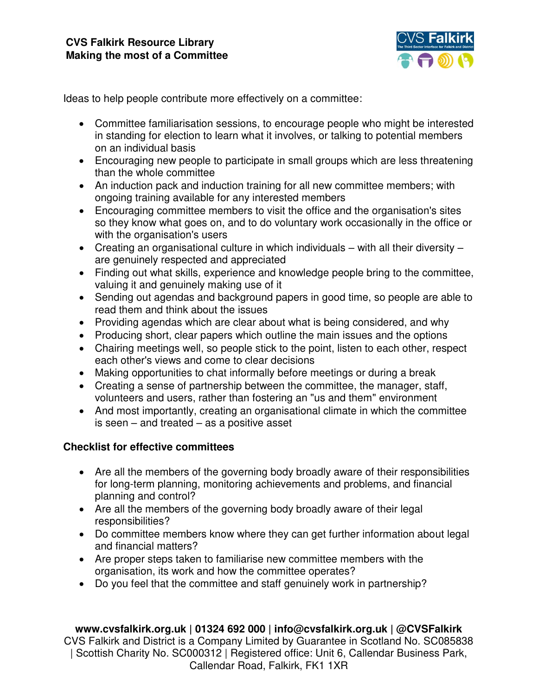

Ideas to help people contribute more effectively on a committee:

- Committee familiarisation sessions, to encourage people who might be interested in standing for election to learn what it involves, or talking to potential members on an individual basis
- Encouraging new people to participate in small groups which are less threatening than the whole committee
- An induction pack and induction training for all new committee members; with ongoing training available for any interested members
- Encouraging committee members to visit the office and the organisation's sites so they know what goes on, and to do voluntary work occasionally in the office or with the organisation's users
- $\bullet$  Creating an organisational culture in which individuals with all their diversity are genuinely respected and appreciated
- Finding out what skills, experience and knowledge people bring to the committee, valuing it and genuinely making use of it
- Sending out agendas and background papers in good time, so people are able to read them and think about the issues
- Providing agendas which are clear about what is being considered, and why
- Producing short, clear papers which outline the main issues and the options
- Chairing meetings well, so people stick to the point, listen to each other, respect each other's views and come to clear decisions
- Making opportunities to chat informally before meetings or during a break
- Creating a sense of partnership between the committee, the manager, staff, volunteers and users, rather than fostering an "us and them" environment
- And most importantly, creating an organisational climate in which the committee is seen – and treated – as a positive asset

## **Checklist for effective committees**

- Are all the members of the governing body broadly aware of their responsibilities for long-term planning, monitoring achievements and problems, and financial planning and control?
- Are all the members of the governing body broadly aware of their legal responsibilities?
- Do committee members know where they can get further information about legal and financial matters?
- Are proper steps taken to familiarise new committee members with the organisation, its work and how the committee operates?
- Do you feel that the committee and staff genuinely work in partnership?

**www.cvsfalkirk.org.uk | 01324 692 000 | info@cvsfalkirk.org.uk | @CVSFalkirk**  CVS Falkirk and District is a Company Limited by Guarantee in Scotland No. SC085838 | Scottish Charity No. SC000312 | Registered office: Unit 6, Callendar Business Park, Callendar Road, Falkirk, FK1 1XR